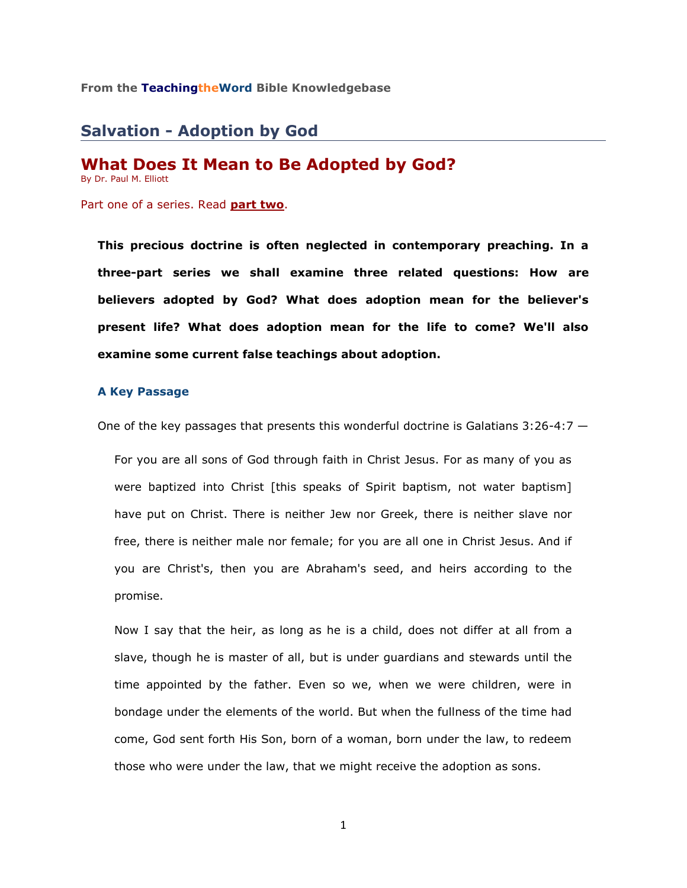### **From the TeachingtheWord Bible Knowledgebase**

# **Salvation - Adoption by God**

# **What Does It Mean to Be Adopted by God?**

By Dr. Paul M. Elliott

Part one of a series. Read **[part two](http://www.teachingtheword.org/articles_view.asp?columnid=5774&articleid=59275)**.

**This precious doctrine is often neglected in contemporary preaching. In a three-part series we shall examine three related questions: How are believers adopted by God? What does adoption mean for the believer's present life? What does adoption mean for the life to come? We'll also examine some current false teachings about adoption.**

### **A Key Passage**

One of the key passages that presents this wonderful doctrine is Galatians  $3:26-4:7-$ 

For you are all sons of God through faith in Christ Jesus. For as many of you as were baptized into Christ [this speaks of Spirit baptism, not water baptism] have put on Christ. There is neither Jew nor Greek, there is neither slave nor free, there is neither male nor female; for you are all one in Christ Jesus. And if you are Christ's, then you are Abraham's seed, and heirs according to the promise.

Now I say that the heir, as long as he is a child, does not differ at all from a slave, though he is master of all, but is under guardians and stewards until the time appointed by the father. Even so we, when we were children, were in bondage under the elements of the world. But when the fullness of the time had come, God sent forth His Son, born of a woman, born under the law, to redeem those who were under the law, that we might receive the adoption as sons.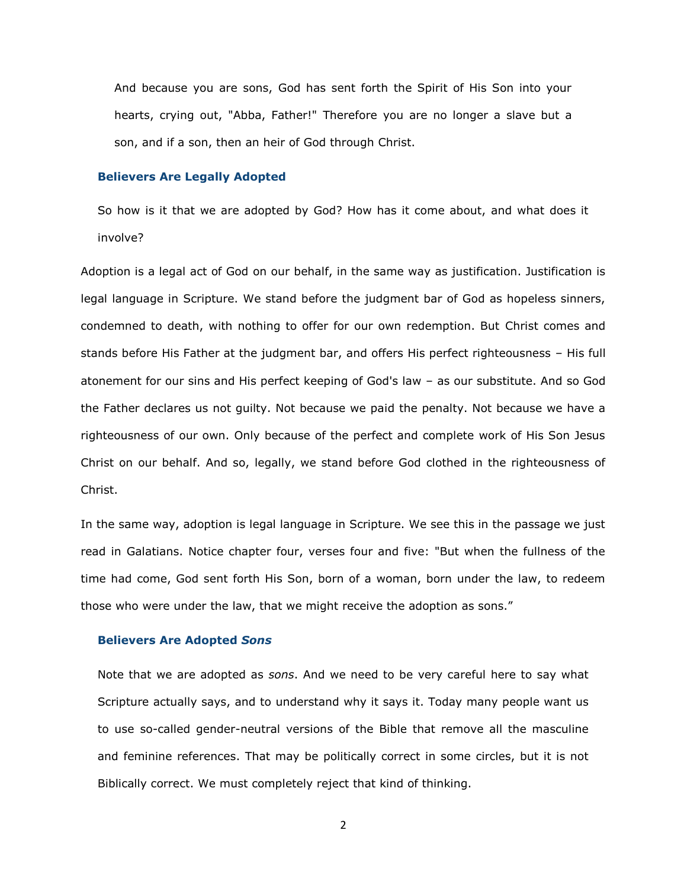And because you are sons, God has sent forth the Spirit of His Son into your hearts, crying out, "Abba, Father!" Therefore you are no longer a slave but a son, and if a son, then an heir of God through Christ.

#### **Believers Are Legally Adopted**

So how is it that we are adopted by God? How has it come about, and what does it involve?

Adoption is a legal act of God on our behalf, in the same way as justification. Justification is legal language in Scripture. We stand before the judgment bar of God as hopeless sinners, condemned to death, with nothing to offer for our own redemption. But Christ comes and stands before His Father at the judgment bar, and offers His perfect righteousness – His full atonement for our sins and His perfect keeping of God's law – as our substitute. And so God the Father declares us not guilty. Not because we paid the penalty. Not because we have a righteousness of our own. Only because of the perfect and complete work of His Son Jesus Christ on our behalf. And so, legally, we stand before God clothed in the righteousness of Christ.

In the same way, adoption is legal language in Scripture. We see this in the passage we just read in Galatians. Notice chapter four, verses four and five: "But when the fullness of the time had come, God sent forth His Son, born of a woman, born under the law, to redeem those who were under the law, that we might receive the adoption as sons."

#### **Believers Are Adopted** *Sons*

Note that we are adopted as *sons*. And we need to be very careful here to say what Scripture actually says, and to understand why it says it. Today many people want us to use so-called gender-neutral versions of the Bible that remove all the masculine and feminine references. That may be politically correct in some circles, but it is not Biblically correct. We must completely reject that kind of thinking.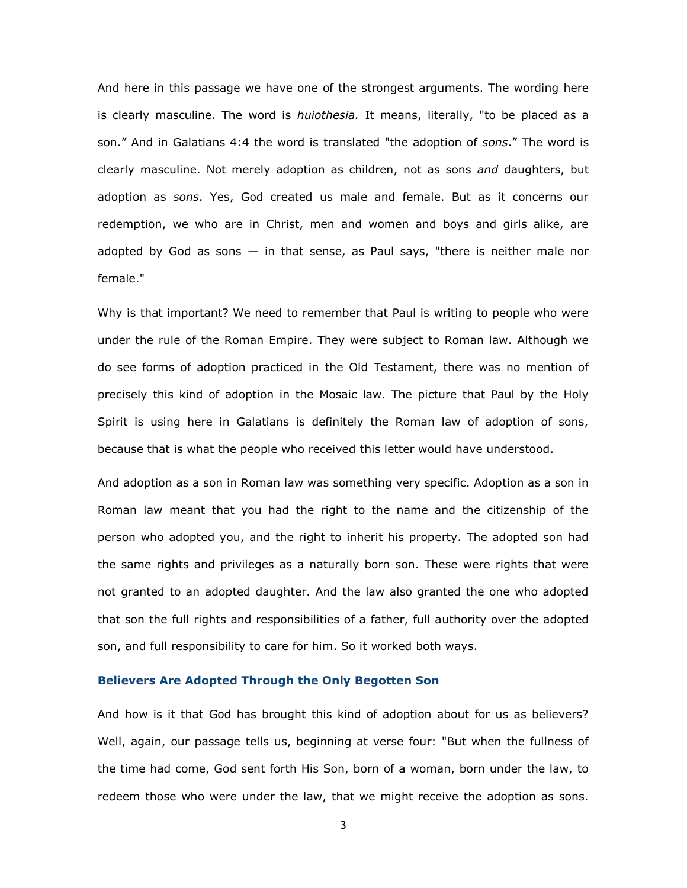And here in this passage we have one of the strongest arguments. The wording here is clearly masculine. The word is *huiothesia.* It means, literally, "to be placed as a son." And in Galatians 4:4 the word is translated "the adoption of *sons*." The word is clearly masculine. Not merely adoption as children, not as sons *and* daughters, but adoption as *sons*. Yes, God created us male and female. But as it concerns our redemption, we who are in Christ, men and women and boys and girls alike, are adopted by God as sons  $-$  in that sense, as Paul says, "there is neither male nor female."

Why is that important? We need to remember that Paul is writing to people who were under the rule of the Roman Empire. They were subject to Roman law. Although we do see forms of adoption practiced in the Old Testament, there was no mention of precisely this kind of adoption in the Mosaic law. The picture that Paul by the Holy Spirit is using here in Galatians is definitely the Roman law of adoption of sons, because that is what the people who received this letter would have understood.

And adoption as a son in Roman law was something very specific. Adoption as a son in Roman law meant that you had the right to the name and the citizenship of the person who adopted you, and the right to inherit his property. The adopted son had the same rights and privileges as a naturally born son. These were rights that were not granted to an adopted daughter. And the law also granted the one who adopted that son the full rights and responsibilities of a father, full authority over the adopted son, and full responsibility to care for him. So it worked both ways.

#### **Believers Are Adopted Through the Only Begotten Son**

And how is it that God has brought this kind of adoption about for us as believers? Well, again, our passage tells us, beginning at verse four: "But when the fullness of the time had come, God sent forth His Son, born of a woman, born under the law, to redeem those who were under the law, that we might receive the adoption as sons.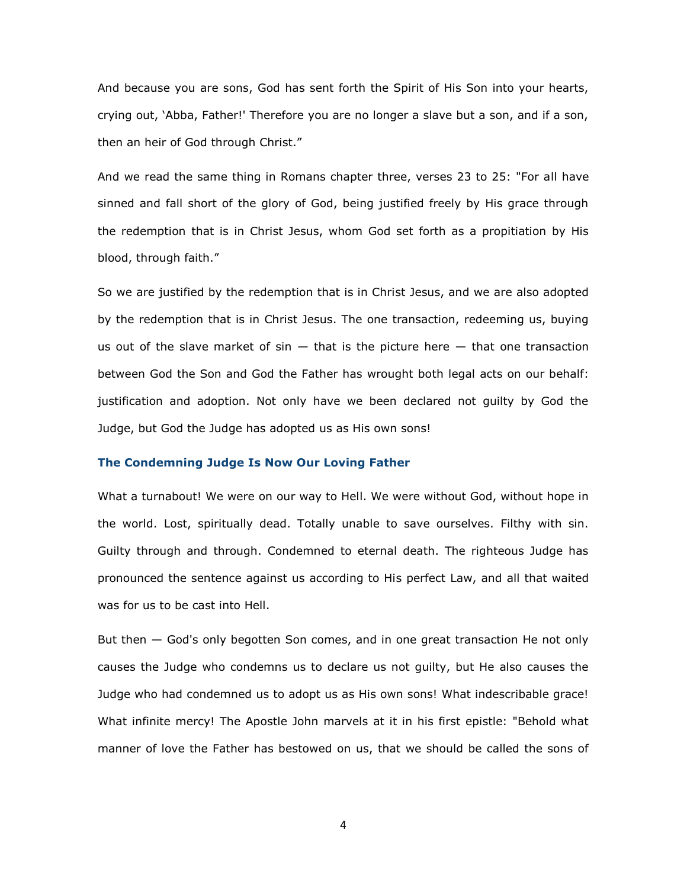And because you are sons, God has sent forth the Spirit of His Son into your hearts, crying out, 'Abba, Father!' Therefore you are no longer a slave but a son, and if a son, then an heir of God through Christ."

And we read the same thing in Romans chapter three, verses 23 to 25: "For all have sinned and fall short of the glory of God, being justified freely by His grace through the redemption that is in Christ Jesus, whom God set forth as a propitiation by His blood, through faith."

So we are justified by the redemption that is in Christ Jesus, and we are also adopted by the redemption that is in Christ Jesus. The one transaction, redeeming us, buying us out of the slave market of  $sin -$  that is the picture here  $-$  that one transaction between God the Son and God the Father has wrought both legal acts on our behalf: justification and adoption. Not only have we been declared not guilty by God the Judge, but God the Judge has adopted us as His own sons!

## **The Condemning Judge Is Now Our Loving Father**

What a turnabout! We were on our way to Hell. We were without God, without hope in the world. Lost, spiritually dead. Totally unable to save ourselves. Filthy with sin. Guilty through and through. Condemned to eternal death. The righteous Judge has pronounced the sentence against us according to His perfect Law, and all that waited was for us to be cast into Hell.

But then — God's only begotten Son comes, and in one great transaction He not only causes the Judge who condemns us to declare us not guilty, but He also causes the Judge who had condemned us to adopt us as His own sons! What indescribable grace! What infinite mercy! The Apostle John marvels at it in his first epistle: "Behold what manner of love the Father has bestowed on us, that we should be called the sons of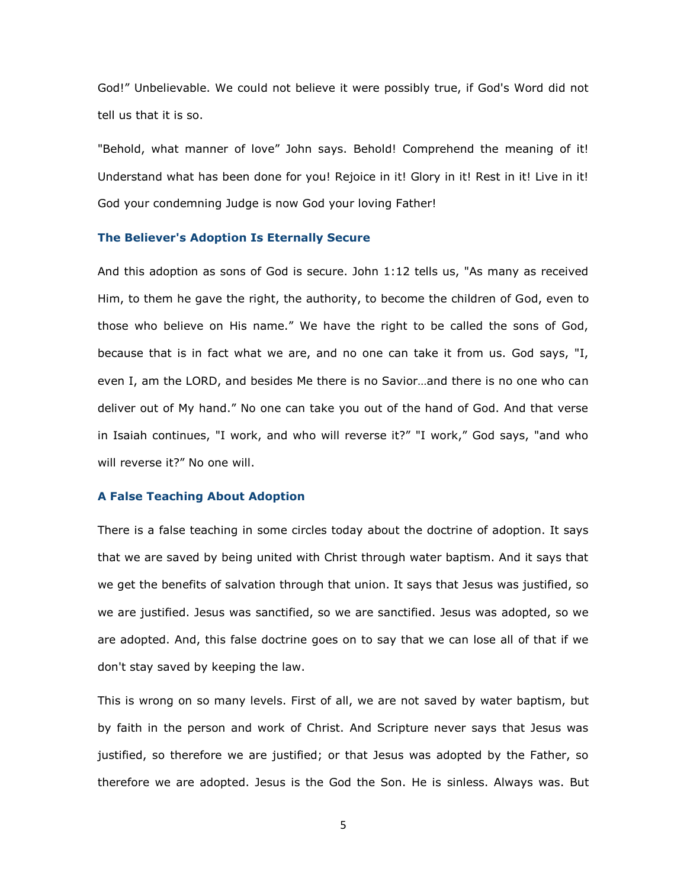God!" Unbelievable. We could not believe it were possibly true, if God's Word did not tell us that it is so.

"Behold, what manner of love" John says. Behold! Comprehend the meaning of it! Understand what has been done for you! Rejoice in it! Glory in it! Rest in it! Live in it! God your condemning Judge is now God your loving Father!

#### **The Believer's Adoption Is Eternally Secure**

And this adoption as sons of God is secure. John 1:12 tells us, "As many as received Him, to them he gave the right, the authority, to become the children of God, even to those who believe on His name." We have the right to be called the sons of God, because that is in fact what we are, and no one can take it from us. God says, "I, even I, am the LORD, and besides Me there is no Savior…and there is no one who can deliver out of My hand." No one can take you out of the hand of God. And that verse in Isaiah continues, "I work, and who will reverse it?" "I work," God says, "and who will reverse it?" No one will.

### **A False Teaching About Adoption**

There is a false teaching in some circles today about the doctrine of adoption. It says that we are saved by being united with Christ through water baptism. And it says that we get the benefits of salvation through that union. It says that Jesus was justified, so we are justified. Jesus was sanctified, so we are sanctified. Jesus was adopted, so we are adopted. And, this false doctrine goes on to say that we can lose all of that if we don't stay saved by keeping the law.

This is wrong on so many levels. First of all, we are not saved by water baptism, but by faith in the person and work of Christ. And Scripture never says that Jesus was justified, so therefore we are justified; or that Jesus was adopted by the Father, so therefore we are adopted. Jesus is the God the Son. He is sinless. Always was. But